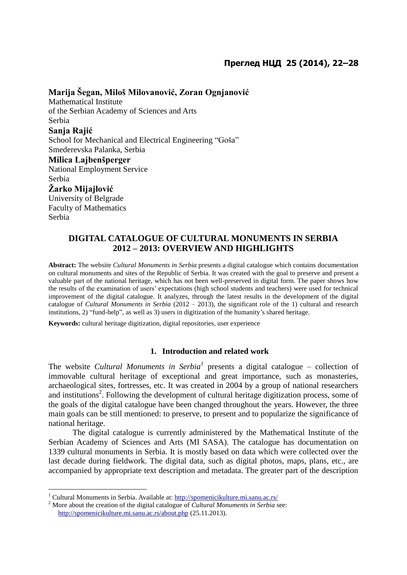# **Marija Šegan, Miloš Milovanović, Zoran Ognjanović**

Mathematical Institute of the Serbian Academy of Sciences and Arts Serbia **Sanja Rajić** School for Mechanical and Electrical Engineering "Goša" Smederevska Palanka, Serbia **Milica Lajbenšperger** National Employment Service Serbia **Žarko Mijajlović**  University of Belgrade

Faculty of Mathematics Serbia

 $\overline{a}$ 

## **DIGITAL CATALOGUE OF CULTURAL MONUMENTS IN SERBIA 2012 – 2013: OVERVIEW AND HIGHLIGHTS**

**Abstract:** The website *Cultural Monuments in Serbia* presents a digital catalogue which contains documentation on cultural monuments and sites of the Republic of Serbia. It was created with the goal to preserve and present a valuable part of the national heritage, which has not been well-preserved in digital form. The paper shows how the results of the examination of users' expectations (high school students and teachers) were used for technical improvement of the digital catalogue. It analyzes, through the latest results in the development of the digital catalogue of *Cultural Monuments in Serbia* (2012 – 2013), the significant role of the 1) cultural and research institutions, 2) "fund-help", as well as 3) users in digitization of the humanity's shared heritage.

**Keywords:** cultural heritage digitization, digital repositories, user experience

### **1. Introduction and related work**

The website *Cultural Monuments in Serbia<sup>1</sup>* presents a digital catalogue – collection of immovable cultural heritage of exceptional and great importance, such as monasteries, archaeological sites, fortresses, etc. It was created in 2004 by a group of national researchers and institutions<sup>2</sup>. Following the development of cultural heritage digitization process, some of the goals of the digital catalogue have been changed throughout the years. However, the three main goals can be still mentioned: to preserve, to present and to popularize the significance of national heritage.

The digital catalogue is currently administered by the Mathematical Institute of the Serbian Academy of Sciences and Arts (MI SASA). The catalogue has documentation on 1339 cultural monuments in Serbia. It is mostly based on data which were collected over the last decade during fieldwork. The digital data, such as digital photos, maps, plans, etc., are accompanied by appropriate text description and metadata. The greater part of the description

<sup>&</sup>lt;sup>1</sup> Cultural Monuments in Serbia. Available at:<http://spomenicikulture.mi.sanu.ac.rs/>

<sup>2</sup> More about the creation of the digital catalogue of *Cultural Monuments in Serbia* see: <http://spomenicikulture.mi.sanu.ac.rs/about.php> (25.11.2013).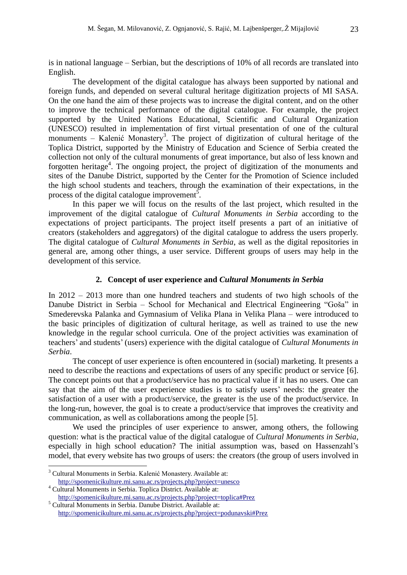is in national language – Serbian, but the descriptions of 10% of all records are translated into English.

The development of the digital catalogue has always been supported by national and foreign funds, and depended on several cultural heritage digitization projects of MI SASA. On the one hand the aim of these projects was to increase the digital content, and on the other to improve the technical performance of the digital catalogue. For example, the project supported by the United Nations Educational, Scientific and Cultural Organization (UNESCO) resulted in implementation of first virtual presentation of one of the cultural monuments – Kalenić Monastery<sup>3</sup>. The project of digitization of cultural heritage of the Toplica District, supported by the Ministry of Education and Science of Serbia created the collection not only of the cultural monuments of great importance, but also of less known and forgotten heritage<sup>4</sup>. The ongoing project, the project of digitization of the monuments and sites of the Danube District, supported by the Center for the Promotion of Science included the high school students and teachers, through the examination of their expectations, in the process of the digital catalogue improvement<sup>5</sup>.

In this paper we will focus on the results of the last project, which resulted in the improvement of the digital catalogue of *Cultural Monuments in Serbia* according to the expectations of project participants. The project itself presents a part of an initiative of creators (stakeholders and aggregators) of the digital catalogue to address the users properly. The digital catalogue of *Cultural Monuments in Serbia*, as well as the digital repositories in general are, among other things, a user service. Different groups of users may help in the development of this service.

#### **2. Concept of user experience and** *Cultural Monuments in Serbia*

In 2012 – 2013 more than one hundred teachers and students of two high schools of the Danube District in Serbia – School for Mechanical and Electrical Engineering "Goša" in Smederevska Palanka and Gymnasium of Velika Plana in Velika Plana – were introduced to the basic principles of digitization of cultural heritage, as well as trained to use the new knowledge in the regular school curricula. One of the project activities was examination of teachers' and students' (users) experience with the digital catalogue of *Cultural Monuments in Serbia*.

The concept of user experience is often encountered in (social) marketing. It presents a need to describe the reactions and expectations of users of any specific product or service [6]. The concept points out that a product/service has no practical value if it has no users. One can say that the aim of the user experience studies is to satisfy users' needs: the greater the satisfaction of a user with a product/service, the greater is the use of the product/service. In the long-run, however, the goal is to create a product/service that improves the creativity and communication, as well as collaborations among the people [5].

We used the principles of user experience to answer, among others, the following question: what is the practical value of the digital catalogue of *Cultural Monuments in Serbia*, especially in high school education? The initial assumption was, based on Hassenzahl's model, that every website has two groups of users: the creators (the group of users involved in

 $\overline{a}$ 

<sup>&</sup>lt;sup>3</sup> Cultural Monuments in Serbia. Kalenić Monastery. Available at:

<http://spomenicikulture.mi.sanu.ac.rs/projects.php?project=unesco> <sup>4</sup> Cultural Monuments in Serbia. Toplica District. Available at:

<http://spomenicikulture.mi.sanu.ac.rs/projects.php?project=toplica#Prez> <sup>5</sup> Cultural Monuments in Serbia. Danube District. Available at:

<http://spomenicikulture.mi.sanu.ac.rs/projects.php?project=podunavski#Prez>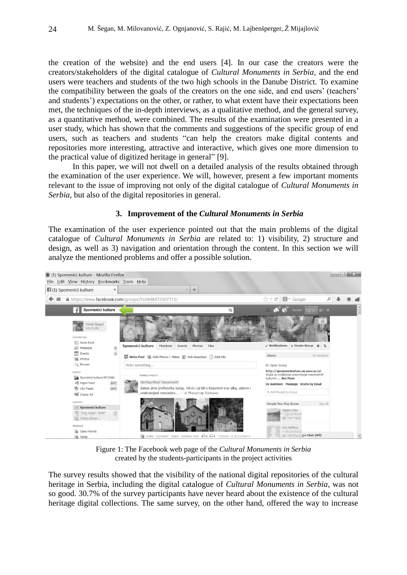the creation of the website) and the end users [4]. In our case the creators were the creators/stakeholders of the digital catalogue of *Cultural Monuments in Serbia,* and the end users were teachers and students of the two high schools in the Danube District. To examine the compatibility between the goals of the creators on the one side, and end users' (teachers' and students') expectations on the other, or rather, to what extent have their expectations been met, the techniques of the in-depth interviews, as a qualitative method, and the general survey, as a quantitative method, were combined. The results of the examination were presented in a user study, which has shown that the comments and suggestions of the specific group of end users, such as teachers and students "can help the creators make digital contents and repositories more interesting, attractive and interactive, which gives one more dimension to the practical value of digitized heritage in general" [9].

In this paper, we will not dwell on a detailed analysis of the results obtained through the examination of the user experience. We will, however, present a few important moments relevant to the issue of improving not only of the digital catalogue of *Cultural Monuments in Serbia*, but also of the digital repositories in general.

#### **3. Improvement of the** *Cultural Monuments in Serbia*

The examination of the user experience pointed out that the main problems of the digital catalogue of *Cultural Monuments in Serbia* are related to: 1) visibility, 2) structure and design, as well as 3) navigation and orientation through the content. In this section we will analyze the mentioned problems and offer a possible solution.



Figure 1: The Facebook web page of the *Cultural Monuments in Serbia* created by the students-participants in the project activities

The survey results showed that the visibility of the national digital repositories of the cultural heritage in Serbia, including the digital catalogue of *Cultural Monuments in Serbia*, was not so good. 30.7% of the survey participants have never heard about the existence of the cultural heritage digital collections. The same survey, on the other hand, offered the way to increase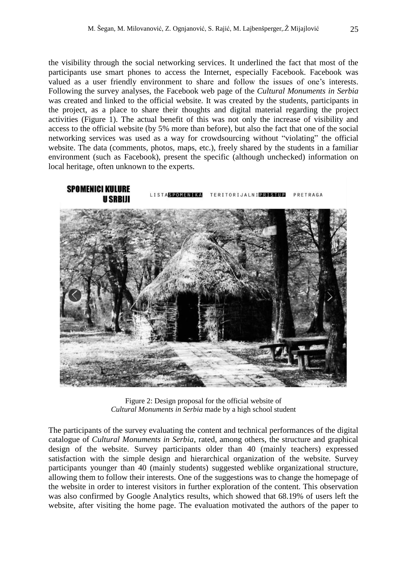the visibility through the social networking services. It underlined the fact that most of the participants use smart phones to access the Internet, especially Facebook. Facebook was valued as a user friendly environment to share and follow the issues of one's interests. Following the survey analyses, the Facebook web page of the *Cultural Monuments in Serbia* was created and linked to the official website. It was created by the students, participants in the project, as a place to share their thoughts and digital material regarding the project activities (Figure 1). The actual benefit of this was not only the increase of visibility and access to the official website (by 5% more than before), but also the fact that one of the social networking services was used as a way for crowdsourcing without "violating" the official website. The data (comments, photos, maps, etc.), freely shared by the students in a familiar environment (such as Facebook), present the specific (although unchecked) information on local heritage, often unknown to the experts.



Figure 2: Design proposal for the official website of *Cultural Monuments in Serbia* made by a high school student

The participants of the survey evaluating the content and technical performances of the digital catalogue of *Cultural Monuments in Serbia*, rated, among others, the structure and graphical design of the website. Survey participants older than 40 (mainly teachers) expressed satisfaction with the simple design and hierarchical organization of the website. Survey participants younger than 40 (mainly students) suggested weblike organizational structure, allowing them to follow their interests. One of the suggestions was to change the homepage of the website in order to interest visitors in further exploration of the content. This observation was also confirmed by Google Analytics results, which showed that 68.19% of users left the website, after visiting the home page. The evaluation motivated the authors of the paper to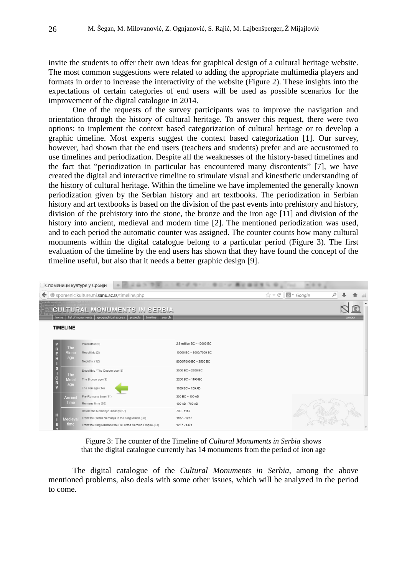invite the students to offer their own ideas for graphical design of a cultural heritage website. The most common suggestions were related to adding the appropriate multimedia players and formats in order to increase the interactivity of the website (Figure 2). These insights into the expectations of certain categories of end users will be used as possible scenarios for the improvement of the digital catalogue in 2014.

One of the requests of the survey participants was to improve the navigation and orientation through the history of cultural heritage. To answer this request, there were two options: to implement the context based categorization of cultural heritage or to develop a graphic timeline. Most experts suggest the context based categorization [1]. Our survey, however, had shown that the end users (teachers and students) prefer and are accustomed to use timelines and periodization. Despite all the weaknesses of the history-based timelines and the fact that "periodization in particular has encountered many discontents" [7], we have created the digital and interactive timeline to stimulate visual and kinesthetic understanding of the history of cultural heritage. Within the timeline we have implemented the generally known periodization given by the Serbian history and art textbooks. The periodization in Serbian history and art textbooks is based on the division of the past events into prehistory and history, division of the prehistory into the stone, the bronze and the iron age [11] and division of the history into ancient, medieval and modern time [2]. The mentioned periodization was used, and to each period the automatic counter was assigned. The counter counts how many cultural monuments within the digital catalogue belong to a particular period (Figure 3). The first evaluation of the timeline by the end users has shown that they have found the concept of the timeline useful, but also that it needs a better graphic design [9].

| <b>Поменици културе у Србији</b><br>÷            |                                                   |                                                                                                                |                           |                                                           |              |
|--------------------------------------------------|---------------------------------------------------|----------------------------------------------------------------------------------------------------------------|---------------------------|-----------------------------------------------------------|--------------|
| Spomenicikulture.mi.sanu.ac.rs/timeline.php<br>← |                                                   |                                                                                                                |                           | $\uparrow$ $\vee$ $\circ$ $\blacksquare$ $\bullet$ Google | م            |
| <b>ÉVÊFA RA</b>                                  | home                                              | <b>CULTURAL MONUMENTS IN SERBIA</b><br>geographical access<br>timeline search<br>list of monuments<br>projects |                           |                                                           | TH<br>српски |
|                                                  | <b>TIMELINE</b>                                   |                                                                                                                |                           |                                                           |              |
|                                                  |                                                   | Paleolithic (5)                                                                                                | 2.6 million BC - 10000 BC |                                                           |              |
|                                                  | The<br><b>Stone</b>                               | Mesolithic (2)                                                                                                 | 10000 BC-8000/7000 BC     |                                                           |              |
|                                                  | age                                               | Neolithic (12)                                                                                                 | 8000/7000 BC-3500 BC      |                                                           |              |
|                                                  | <b>The</b>                                        | Eneolithic / The Copper age (4)                                                                                | 3500 BC-2200 BC           |                                                           |              |
|                                                  | <b>P R E H   S T O R Y</b><br>Metal<br>age        | The Bronze age (3)                                                                                             | 2200 BC-1100 BC           |                                                           |              |
|                                                  |                                                   | The Iron age (14)                                                                                              | 1100 BC - 150 AD          |                                                           |              |
|                                                  | <b>Ancient</b>                                    | Pre-Romans time (11)                                                                                           | 300 BC - 100 AD           |                                                           |              |
|                                                  | Time                                              | Romans time (65)                                                                                               | 100 AD - 700 AD           |                                                           |              |
|                                                  |                                                   | Before the Nemanjić Dinasty (27)                                                                               | 700 - 1167                |                                                           |              |
|                                                  | H<br>Medieva<br>$\boldsymbol{\mathsf{s}}$<br>time | From the Stefan Nemanja to the King Milutin (30)                                                               | 1167 - 1267               |                                                           |              |
|                                                  |                                                   | From the King Milutin to the Fall of the Serbian Empire (83)                                                   | 1267 - 1371               |                                                           |              |

Figure 3: The counter of the Timeline of *Cultural Monuments in Serbia* shows that the digital catalogue currently has 14 monuments from the period of iron age

The digital catalogue of the *Cultural Monuments in Serbia*, among the above mentioned problems, also deals with some other issues, which will be analyzed in the period to come.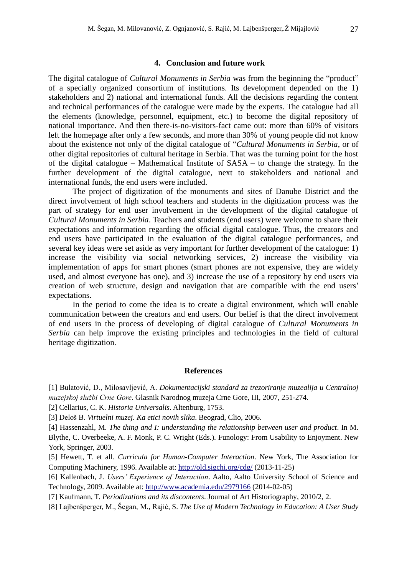#### **4. Conclusion and future work**

The digital catalogue of *Cultural Monuments in Serbia* was from the beginning the "product" of a specially organized consortium of institutions. Its development depended on the 1) stakeholders and 2) national and international funds. All the decisions regarding the content and technical performances of the catalogue were made by the experts. The catalogue had all the elements (knowledge, personnel, equipment, etc.) to become the digital repository of national importance. And then there-is-no-visitors-fact came out: more than 60% of visitors left the homepage after only a few seconds, and more than 30% of young people did not know about the existence not only of the digital catalogue of "*Cultural Monuments in Serbia*, or of other digital repositories of cultural heritage in Serbia. That was the turning point for the host of the digital catalogue – Mathematical Institute of SASA – to change the strategy. In the further development of the digital catalogue, next to stakeholders and national and international funds, the end users were included.

The project of digitization of the monuments and sites of Danube District and the direct involvement of high school teachers and students in the digitization process was the part of strategy for end user involvement in the development of the digital catalogue of *Cultural Monuments in Serbia*. Teachers and students (end users) were welcome to share their expectations and information regarding the official digital catalogue. Thus, the creators and end users have participated in the evaluation of the digital catalogue performances, and several key ideas were set aside as very important for further development of the catalogue: 1) increase the visibility via social networking services, 2) increase the visibility via implementation of apps for smart phones (smart phones are not expensive, they are widely used, and almost everyone has one), and 3) increase the use of a repository by end users via creation of web structure, design and navigation that are compatible with the end users' expectations.

In the period to come the idea is to create a digital environment, which will enable communication between the creators and end users. Our belief is that the direct involvement of end users in the process of developing of digital catalogue of *Cultural Monuments in Serbia* can help improve the existing principles and technologies in the field of cultural heritage digitization.

#### **References**

[1] Bulatović, D., Milosavljević, A. *Dokumentacijski standard za trezoriranje muzealija u Centralnoj muzejskoj službi Crne Gore*. Glasnik Narodnog muzeja Crne Gore, III, 2007, 251-274.

[2] Cellarius, C. K. *Historia Universalis*. Altenburg, 1753.

[3] Deloš B. *Virtuelni muzej. Ka etici novih slika*. Beograd, Clio, 2006.

[4] Hassenzahl, M. *The thing and I: understanding the relationship between user and product*. In M. Blythe, C. Overbeeke, A. F. Monk, P. C. Wright (Eds.). Funology: From Usability to Enjoyment. New York, Springer, 2003.

[5] Hewett, T. et all. *Curricula for Human-Computer Interaction*. New York, The Association for Computing Machinery, 1996. Available at:<http://old.sigchi.org/cdg/> (2013-11-25)

[6] Kallenbach, J. *Users' Experience of Interaction*. Aalto, Aalto University School of Science and Technology, 2009. Available at:<http://www.academia.edu/2979166> (2014-02-05)

[7] Kaufmann, T. *Periodizations and its discontents*. Journal of Art Historiography, 2010/2, 2.

[8] Lajbenšperger, M., Šegan, M., Rajić, S. *The Use of Modern Technology in Education: A User Study*